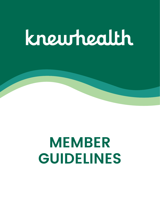# knewhealth



# **GUIDELINES**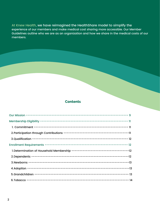At Knew Health, we have reimagined the HealthShare model to simplify the experience of our members and make medical cost sharing more accessible. Our Member Guidelines outline who we are as an organization and how we share in the medical costs of our members.

#### **Contents**

2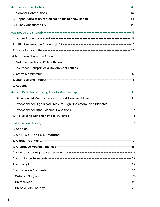| Medical Conditions Existing Prior to Membership ---------------------------------       |  |
|-----------------------------------------------------------------------------------------|--|
| 1. Definition: 24 Months Symptoms and Treatment Free --------------------------- 17     |  |
| 2. Exceptions for High Blood Pressure, High Cholesterol, and Diabetes ---------------17 |  |
|                                                                                         |  |
|                                                                                         |  |
|                                                                                         |  |
|                                                                                         |  |
|                                                                                         |  |
|                                                                                         |  |
|                                                                                         |  |

| 2. Proper Submission of Medical Needs to Knew Health --------------------------14 |  |
|-----------------------------------------------------------------------------------|--|
|                                                                                   |  |
|                                                                                   |  |
|                                                                                   |  |
|                                                                                   |  |
|                                                                                   |  |
|                                                                                   |  |
|                                                                                   |  |
| 6. Insurance Companies & Government Entities -----------------------------------  |  |
|                                                                                   |  |

Appeals 9.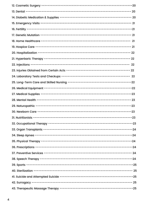$\overline{4}$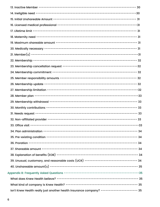| 39. Unusual, customary, and reasonable costs (UCR) ----------------------------------- 34  |  |
|--------------------------------------------------------------------------------------------|--|
|                                                                                            |  |
|                                                                                            |  |
|                                                                                            |  |
|                                                                                            |  |
| Isn't Knew Health really just another health insurance company? ----------------------- 35 |  |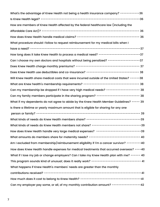7

| What's the advantage of Knew Health not being a health insurance company? -----------36   |  |
|-------------------------------------------------------------------------------------------|--|
|                                                                                           |  |
| How are members of Knew Health affected by the federal healthcare law (including the      |  |
|                                                                                           |  |
|                                                                                           |  |
| What procedure should I follow to request reimbursement for my medical bills when I       |  |
|                                                                                           |  |
| How long does it take Knew Health to process a medical need? --------------------------37 |  |
| Can I choose my own doctors and hospitals without being penalized? ------------------37   |  |
|                                                                                           |  |
| Does Knew Health use deductibles and co-insurance? ---------------------------------- 38  |  |

How does Knew Health handle expenses for medical treatments that occurred overseas? ----40 What if I lose my job or change employers? Can I take my Knew Health plan with me? ----- 40 This program sounds kind of unusual; does it really work? ------------------------------- 41 What happens if Knew Health' s members 'needs are greater than the monthly contributions received? -------------------------------------------------------------41 How much does it cost to belong to Knew Health? --------------------------------------41 Can my employer pay some, or all, of my monthly contribution amount? -----------------42

| Will Knew Health share medical costs that were incurred outside of the United States? ------38 |    |
|------------------------------------------------------------------------------------------------|----|
|                                                                                                |    |
| Can my membership be dropped if I have very high medical needs? -------------------- 38        |    |
| Can my family members participate in the sharing program? --------------------------- 38       |    |
| What if my dependents do not agree to abide by the Knew Health Member Guidelines? ----- 39     |    |
| Is there a lifetime or yearly maximum amount that is eligible for sharing for any one          |    |
|                                                                                                | 39 |
|                                                                                                |    |
| What kinds of needs do Knew Health members not share? --------------------------------39       |    |
| How does Knew Health handle very large medical expenses? ----------------------------39        |    |
| What amounts do members share for maternity needs? --------------------------------- 40        |    |
| Am I excluded from membership/reimbursement eligibility if I'm a cancer survivor? --------40   |    |
| How does Knew Health handle expenses for medical treatments that occurred overseas? $---10$    |    |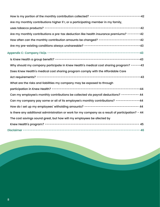

| How is my portion of the monthly contribution collected? --------------------------------42      |    |
|--------------------------------------------------------------------------------------------------|----|
| Are my monthly contributions higher if I, or a participating member in my family,                |    |
|                                                                                                  |    |
| Are my monthly contributions a pre-tax deduction like health insurance premiums? --------42      |    |
| How often can the monthly contribution amounts be changed? --------------------------42          |    |
|                                                                                                  |    |
|                                                                                                  |    |
|                                                                                                  |    |
| Why should my company participate in Knew Health's medical cost sharing program? ------43        |    |
| Does Knew Health's medical cost sharing program comply with the Affordable Care                  |    |
|                                                                                                  |    |
| What are the risks and liabilities my company may be exposed to through                          |    |
|                                                                                                  |    |
| Can my employee's monthly contributions be collected via payroll deductions? ---------- 44       |    |
| Can my company pay some or all of its employee's monthly contributions? -------------44          |    |
| How do I set up my employees' witholding amounts? ----------------------------------- 44         |    |
| Is there any additional administration or work for my company as a result of participation? - 44 |    |
| The cost savings sound great, but how will my employees be afected by                            |    |
|                                                                                                  | 45 |

Disclaimer ------------------------------------------------------------------------- 46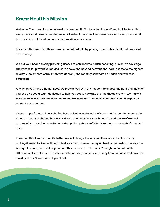#### **Knew Health's Mission**

Welcome. Thank you for your interest in Knew Health. Our founder, Joshua Rosenthal, believes that everyone should have access to preventative health and wellness resources. And everyone should have a safety net for when unexpected medical costs occur.

Knew Health makes healthcare simple and affordable by pairing preventative health with medical cost sharing.

We put your health first by providing access to personalized health coaching, preventive coverage, allowances for preventive medical care above and beyond conventional care, access to the highest quality supplements, complimentary lab work, and monthly seminars on health and wellness

education.

And when you have a health need, we provide you with the freedom to choose the right providers for you. We give you a team dedicated to help you easily navigate the healthcare system. We make it possible to invest back into your health and wellness, and we 'll have your back when unexpected medical costs happen.

The concept of medical cost sharing has evolved over decades of communities coming together in times of need and sharing burdens with one another. Knew Health has created a one-of-a-kind Community of passionate individuals that pull together to efficiently manage one another's medical costs.

Knew Health will make your life better. We will change the way you think about healthcare by making it easier to live healthier, to feel your best, to save money on healthcare costs, to receive the best quality care, and we 'll help one another every step of the way. Through our intentionally

different, wellness-focused healthcare solution, you can achieve your optimal wellness and have the

stability of our Community at your back.

9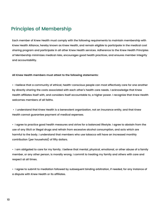## Principles of Membership

Each member of Knew Health must comply with the following requirements to maintain membership with Knew Health Alliance, hereby known as Knew Health, and remain eligible to participate in the medical cost sharing program and participate in all other Knew Health services. Adherence to the Knew Health Principles of Membership minimizes medical risks, encourages good health practices, and ensures member integrity and accountability.

**All Knew Health members must attest to the following statements:**

**•** I believe that a community of ethical, health-conscious people can most effectively care for one another by directly sharing the costs associated with each other's health care needs. I acknowledge that Knew Health affiliates itself with, and considers itself accountable to, a higher power. I recognize that Knew Health welcomes members of all faiths.

• I understand that Knew Health is a benevolent organization, not an insurance entity, and that Knew Health cannot guarantee payment of medical expenses.

• I agree to practice good health measures and strive for a balanced lifestyle. I agree to abstain from the use of any illicit or illegal drugs and refrain from excessive alcohol consumption, and acts which are harmful to the body. I understand that members who use tobacco will have an increased monthly contribution (per household) of fifty dollars.

• I am obligated to care for my family. I believe that mental, physical, emotional, or other abuse of a family

member, or any other person, is morally wrong. I commit to treating my family and others with care and respect at all times.

• I agree to submit to mediation followed by subsequent binding arbitration, if needed, for any instance of a dispute with Knew Health or its affiliates.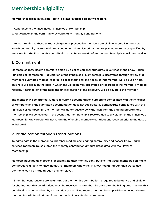**Membership eligibility in Zion Health is primarily based upon two factors.**

- 1. Adherence to the Knew Health Principles of Membership.
- 2. Participation in the community by submitting monthly contributions.

After committing to these primary obligations, prospective members are eligible to enroll in the Knew Health community. Membership may begin on a date elected by the prospective member or specified by Knew Health. The first monthly contribution must be received before the membership is considered active.

## Membership Eligibility

#### 1. Commitment

Members of Knew Health commit to abide by a set of personal standards as outlined in the Knew Health Principles of Membership. If a violation of the Principles of Membership is discovered through review of a member ' s submitted medical records, all cost sharing for the needs of that member will be put on hold. This hold will begin on the date in which the violation was discovered or recorded in the member ' s medical records. A notification of the hold and an explanation of the discovery will be issued to the member.

The member will be granted 30 days to submit documentation supporting compliance with the Principles of Membership. If the submitted documentation does not satisfactorily demonstrate compliance with the Principles of Membership, the member will automatically be withdrawn from the sharing program and membership will be revoked. In the event that membership is revoked due to a violation of the Principles of Membership, Knew Health will not return the offending member ' s contributions received prior to the date of withdrawal.

#### 2. Participation through Contributions

To participate in the member-to-member medical cost sharing community and access Knew Health services, members must submit the monthly contribution amount associated with their level of

Members have multiple options for submitting their monthly contributions. Individual members can make contributions directly to Knew Health. For members who enroll in Knew Health through their workplace , payments can be made through their employer.

All member contributions are voluntary, but the monthly contribution is required to be active and eligible for sharing. Monthly contributions must be received no later than 30 days after the billing date. If a monthly contribution is not received by the last day of the billing month, the membership will become inactive and the member will be withdrawn from the medical cost sharing community.

11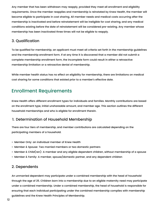Any member that has been withdrawn may reapply, provided they meet all enrollment and eligibility requirements. Once the member reapplies and membership is reinstated by Knew Health, the member will become eligible to participate in cost sharing. All member needs and medical costs occurring after the membership is inactivated and before reinstatement will be ineligible for cost sharing, and any medical conditions existing before the date of reinstatement will be considered pre-existing. Any member whose membership has been inactivated three times will not be eligible to reapply.

#### 3. Qualification

To be qualified for membership, an applicant must meet all criteria set forth in the membership guidelines and the membership enrollment form. If at any time it is discovered that a member did not submit a complete membership enrollment form, the incomplete form could result in either a retroactive membership limitation or a retroactive denial of membership.

While member health status has no effect on eligibility for membership, there are limitations on medical

cost sharing for some conditions that existed prior to a member ' s effective date.

#### Enrollment Requirements

Knew Health offers different enrollment types for individuals and families. Monthly contributions are based on the enrollment type, initial unshareable amount, and member age. This section outlines the different household memberships and who is eligible for enrollment therein.

#### 1. Determination of Household Membership

There are four tiers of membership, and member contributions are calculated depending on the participating members of a household.

- Member Only: an individual member of Knew Health
- Member & Spouse: Two married members or two domestic partners
- Member & Child(ren): A member and any eligible dependent children, without membership of a spouse
- Member & Family: A member, spouse/domestic partner, and any dependent children

#### 2. Dependents

An unmarried dependent may participate under a combined membership with the head of household through the age of 25. Children born into a membership due to an eligible maternity need may participate under a combined membership. Under a combined membership, the head of household is responsible for ensuring that each individual participating under the combined membership complies with membership guidelines and the Knew Health Principles of Membership.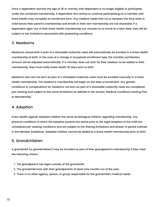Once a dependent reaches the age of 26 or marries, that dependent is no longer eligible to participate under the combined membership. A dependent who wishes to continue participating as a member with Knew Health may complete an enrollment form. Any medical needs that occur between the time when a child leaves their parent's membership and enrolls in their own membership are not shareable. If a dependent ages-out of their Knew Health membership but chooses to re-enroll at a later date, they will be subject to the limitations associated with preexisting conditions.

#### 3. Newborns

Newborns whose birth is part of a shareable maternity need will automatically be enrolled in a Knew Health membership at birth. In the case of a change in household enrollment type, the monthly contribution amount will be adjusted automatically. If a member does not wish for their newborn to be added to their membership, they must notify Knew Health 30 days prior to birth.

Newborns who are not born as part of a shareable maternity need must be enrolled manually in a Knew Health membership. The newborn's membership will begin on the date of enrollment. Any genetic conditions or complications for newborns not born as part of a shareable maternity need are considered pre-existing and subject to the same limitations as defined in the section "Medical Conditions Existing Prior to Membership."

#### 4. Adoption

Knew Health regards adopted children the same as biological children regarding membership. Any physical conditions of which the adoptive parents are aware prior to the legal adoption of the child are considered pre-existing conditions and are subject to the sharing limitations and phase-in period outlined in the Member Guidelines. Adopted children cannot be added to a Knew Health membership prior to birth.

#### 5. Grandchildren

A grandchild (or grandchildren) may be included as part of their grandparent' s membership if they meet

the following criteria.

- 1. The grandparent has legal custody of the grandchild.
- 2. The grandchild lives with their grandparents at least nine months out of the year.
- 3. There is no other agency, person, or group responsible for the grandchild's medical needs.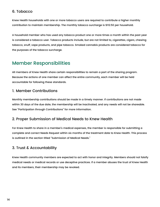#### 6. Tobacco

Knew Health households with one or more tobacco users are required to contribute a higher monthly contribution to maintain membership. The monthly tobacco surcharge is \$112.50 per household.

A household member who has used any tobacco product one or more times a month within the past year is considered a tobacco user. Tobacco products include, but are not limited to, cigarettes, cigars, chewing tobacco, snuff, vape products, and pipe tobacco. Smoked cannabis products are considered tobacco for the purposes of the tobacco surcharge.

#### Member Responsibilities

All members of Knew Health share certain responsibilities to remain a part of the sharing program.

For Knew Health to share in a member's medical expenses, the member is responsible for submitting a complete and correct Needs Request within six months of the treatment date to Knew Health. This process is outlined in the section titled "Submission of Medical Needs."

Because the actions of one member can affect the entire community, each member will be held accountable for following these standards.

#### 1. Member Contributions

Monthly membership contributions should be made in a timely manner. If contributions are not made within 30 days of the due date, the membership will be inactivated, and any needs will not be shareable. See "Participation through Contributions " for more information.

#### 2. Proper Submission of Medical Needs to Knew Health

#### 3. Trust & Accountability

Knew Health community members are expected to act with honor and integrity. Members should not falsify medical needs or medical records or use deceptive practices. If a member abuses the trust of Knew Health

and its members, their membership may be revoked.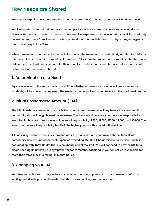#### How Needs are Shared

This section explains how the shareable amount of a member's medical expenses will be determined.

Medical needs are submitted on a per member, per incident basis. Medical needs may be injuries or illnesses that result in medical expenses. These medical expenses may be incurred by receiving medically necessary treatment from licensed medical professionals and facilities, such as physicians, emergency rooms, and hospital facilities.

When a member has a medical expense to be shared, the member must submit original, itemized bills for the medical expense within six months of treatment. Bills submitted more than six months after the service date of treatment will not be shareable. There is no lifetime limit on the number of conditions or the total dollar amount that may be shared.

#### 1. Determination of a Need

Expenses related to the same medical condition, whether expenses for a single incident or separate incidents, will be shared as one need. The related expenses will accumulate toward the total need amount.

#### 2. Initial Unshareable Amount (IUA)

The initial unshareable amount, or IUA, is the amount that a member will pay before the Knew Health community shares in eligible medical expenses. The IUA is also known as your personal responsibility. Knew Health has five primary levels of personal responsibility: \$500, \$1,000, \$1500, \$2,500, and \$5,000. The lower your personal responsibility (or IUA), the higher your monthly contribution will be.

All qualifying medical expenses submitted after the IUA is met are shareable with the Knew Health community at one hundred percent. Expenses exceeding \$5000 will be administered by Zion Health, in coordination with Knew Health.There is no annual or lifetime limit. You will not need to pay the IUA for a single need again until you are symptom free for 12 months. Additionally, you will not be responsible for

more than three IUAs in a rolling 12-month period.

#### 3. Changing your IUA

Members may choose to change their IUA once per membership year. If an IUA is lowered, a 60-day

waiting period will apply to all needs other than those resulting from an accident.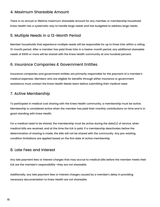#### 4. Maximum Shareable Amount

There is no annual or lifetime maximum shareable amount for any member or membership household. Knew Health has a systematic way to handle large needs and has budgeted to address large needs.

#### 5. Multiple Needs in a 12-Month Period

Member households that experience multiple needs will be responsible for up to three IUAs within a rolling 12-month period. After a member has paid three IUAs in a twelve-month period, any additional shareable needs of \$500 or more will be shared with the Knew Health community at one hundred percent.

#### 6. Insurance Companies & Government Entities

Insurance companies and government entities are primarily responsible for the payment of a member ' s

For a medical need to be shared, the membership must be active during the date(s) of service, when medical bills are received, and at the time the IUA is paid. If a membership deactivates before the determination of sharing is made, the bills will not be shared with the community. Any pre-existing condition limitations are applied based on the first date of active membership.

medical expenses. Members who are eligible for benefits through either insurance or government assistance must contact the Knew Health Needs team before submitting their medical need.

#### 7. Active Membership

Additionally, any late payment fees or interest charges caused by a member's delay in providing necessary documentation to Knew Health are not shareable.

To participate in medical cost sharing with the Knew Health community, a membership must be active. Membership is considered active when the member has paid their monthly contributions on time and is in good standing with Knew Health.

#### 8. Late Fees and Interest

Any late payment fees or interest charges that may accrue to medical bills before the member meets their IUA are the member ' s responsibility—they are not shareable.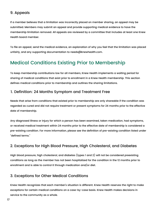#### 9. Appeals

If a member believes that a limitation was incorrectly placed on member sharing, an appeal may be submitted. Members may submit an appeal and provide supporting medical evidence to have the membership limitation removed. All appeals are reviewed by a committee that includes at least one Knew Health board member.

To file an appeal, send the medical evidence, an explanation of why you feel that the limitation was placed unfairly, and any supporting documentation to needs@knewhealth.com.

## Medical Conditions Existing Prior to Membership

To keep membership contributions low for all members, Knew Health implements a waiting period for

sharing of medical conditions that exist prior to enrollment in a Knew Health membership. This section defines medical conditions prior to membership and outlines the sharing limitations.

#### 1. Definition: 24 Months Symptom and Treatment Free

Needs that arise from conditions that existed prior to membership are only shareable if the condition was regarded as cured and did not require treatment or present symptoms for 24 months prior to the effective date of membership.

Knew Health recognizes that each member's situation is different. Knew Health reserves the right to make exceptions for certain medical conditions on a case-by-case basis. Knew Health makes decisions in service to the community as a whole.

Any diagnosed illness or injury for which a person has been examined, taken medication, had symptoms, or received medical treatment within 24 months prior to the effective date of membership is considered a pre-existing condition. For more information, please see the definition of pre-existing condition listed under "defined terms."

2. Exceptions for High Blood Pressure, High Cholesterol, and Diabetes

High blood pressure, high cholesterol, and diabetes (types 1 and 2) will not be considered preexisting conditions as long as the member has not been hospitalized for the condition in the 12 months prior to enrollment and is able to control it through medication and/or diet.

#### 3. Exceptions for Other Medical Conditions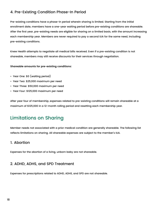#### 4. Pre-Existing Condition Phase-In Period

Pre-existing conditions have a phase-in period wherein sharing is limited. Starting from the initial enrollment date, members have a one-year waiting period before pre-existing conditions are shareable. After the first year, pre-existing needs are eligible for sharing on a limited basis, with the amount increasing each membership year. Members are never required to pay a second IUA for the same need, including pre-existing conditions.

Knew Health attempts to negotiate all medical bills received. Even if a pre-existing condition is not shareable, members may still receive discounts for their services through negotiation.

**Shareable amounts for pre-existing conditions:**

- Year One: \$0 (waiting period)
- Year Two: \$25,000 maximum per need
- Year Three: \$50,000 maximum per need
- Year Four: \$125,000 maximum per need

After year four of membership, expenses related to pre-existing conditions will remain shareable at a maximum of \$125,000 in a 12-month rolling period and resetting each membership year.

## Limitations on Sharing

Member needs not associated with a prior medical condition are generally shareable. The following list reflects limitations on sharing. All shareable expenses are subject to the member ' s IUA.

#### 1. Abortion

Expenses for the abortion of a living, unborn baby are not shareable.

#### 2. ADHD, ADHS, and SPD Treatment

Expenses for prescriptions related to ADHD, ADHS, and SPD are not shareable.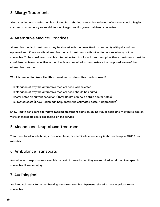#### 3. Allergy Treatments

Allergy testing and medication is excluded from sharing. Needs that arise out of non-seasonal allergies, such as an emergency room visit for an allergic reaction, are considered shareable.

#### 4. Alternative Medical Practices

Alternative medical treatments may be shared with the Knew Health community with prior written approval from Knew Health. Alternative medical treatments without written approval may not be shareable. To be considered a viable alternative to a traditional treatment plan, these treatments must be considered safe and effective. A member is also required to demonstrate the proposed value of the alternative treatment.

**What is needed for Knew Health to consider an alternative medical need?**

- Explanation of why the alternative medical need was selected
- Explanation of why the alternative medical need should be shared
- Doctor notes on current condition (Knew Health can help obtain doctor notes)
- Estimated costs (Knew Health can help obtain the estimated costs, if appropriate)

Knew Health considers alternative medical treatment plans on an individual basis and may put a cap on visits or shareable costs depending on the service.

#### 5. Alcohol and Drug Abuse Treatment

Treatment for alcohol abuse, substance abuse, or chemical dependency is shareable up to \$3,000 per member.



#### 6. Ambulance Transports

Ambulance transports are shareable as part of a need when they are required in relation to a specific shareable illness or injury.

#### 7. Audiological

Audiological needs to correct hearing loss are shareable. Expenses related to hearing aids are not shareable.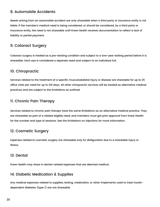#### 8. Automobile Accidents

Needs arising from an automobile accident are only shareable when a third party or insurance entity is not liable. If the member's medical need is being considered, or should be considered, by a third party or insurance entity, the need is not shareable until Knew Health receives documentation to reflect a lack of liability or partial payment.

#### 9. Cataract Surgery

Cataract surgery is treated as a pre-existing condition and subject to a one-year waiting period before it is shareable. Each eye is considered a separate need and subject to an individual IUA.

#### 10. Chiropractic

Services related to the treatment of a specific musculoskeletal injury or disease are shareable for up to 25 office visits per need for up to 120 days. All other chiropractic services will be treated as alternative medical practices and are subject to the limitations as outlined.

#### 11. Chronic Pain Therapy

Services related to chronic pain therapy have the same limitations as an alternative medical practice. They are shareable as part of a related eligible need, and members must get prior approval from Knew Health for the number and type of sessions. See the limitations on injections for more information.

#### 12. Cosmetic Surgery

Expenses related to cosmetic surgery are shareable only for disfiguration due to a shareable injury or illness.

#### 13. Dental

Knew Health may share in dental-related expenses that are deemed medical.

#### 14. Diabetic Medication & Supplies

Any medical expenses related to supplies, testing, medication, or other implements used to treat insulindependent diabetes (type 1) are not shareable.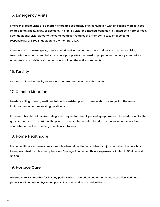#### 15. Emergency Visits

Emergency room visits are generally shareable separately or in conjunction with an eligible medical need related to an illness, injury, or accident. The first ER visit for a medical condition is treated as a normal need. Each additional visit related to the same condition requires the member to take on a personal responsibility of \$500 in addition to the member ' s IUA.

Members with nonemergency needs should seek out other treatment options such as doctor visits, telemedicine, urgent care clinics, or other appropriate care. Seeking proper nonemergency care reduces emergency room visits and the financial strain on the entire community.

#### 16. Fertility

Expenses related to fertility evaluations and treatments are not shareable.

#### 17. Genetic Mutation

Needs resulting from a genetic mutation that existed prior to membership are subject to the same limitations as other pre-existing conditions.

If the member did not receive a diagnosis, require treatment, present symptoms, or take medication for the genetic mutation in the 24 months prior to membership, needs related to the condition are considered shareable without pre-existing condition limitations.

#### 18. Home Healthcare

Home healthcare expenses are shareable when related to an accident or injury and when the care has

been prescribed by a licensed physician. Sharing of home healthcare expenses is limited to 30 days and \$5,000.

#### 19. Hospice Care

Hospice care is shareable for 90-day periods when ordered by and under the care of a licensed care professional and upon physician approval or certification of terminal illness.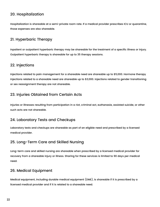#### 20. Hospitalization

Hospitalization is shareable at a semi-private room rate. If a medical provider prescribes ICU or quarantine, those expenses are also shareable.

#### 21. Hyperbaric Therapy

Inpatient or outpatient hyperbaric therapy may be shareable for the treatment of a specific illness or injury. Outpatient hyperbaric therapy is shareable for up to 35 therapy sessions.

#### 22. Injections

Injections related to pain management for a shareable need are shareable up to \$5,000. Hormone therapy

injections related to a shareable need are shareable up to \$3,000. Injections related to gender transitioning or sex reassignment therapy are not shareable.

#### 23. Injuries Obtained from Certain Acts

Injuries or illnesses resulting from participation in a riot, criminal act, euthanasia, assisted suicide, or other such acts are not shareable.

#### 24. Laboratory Tests and Checkups

Laboratory tests and checkups are shareable as part of an eligible need and prescribed by a licensed medical provider.

#### 25. Long-Term Care and Skilled Nursing

Long-term care and skilled nursing are shareable when prescribed by a licensed medical provider for recovery from a shareable injury or illness. Sharing for these services is limited to 90 days per medical need.

#### 26. Medical Equipment

Medical equipment, including durable medical equipment (DME), is shareable if it is prescribed by a licensed medical provider and if it is related to a shareable need.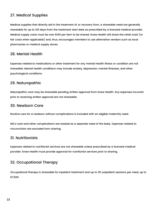#### 27. Medical Supplies

Medical supplies that directly aid in the treatment of, or recovery from, a shareable need are generally shareable for up to 120 days from the treatment start date as prescribed by a licensed medical provider. Medical supply costs must be over \$100 per item to be shared. Knew Health will share the retail costs (or fair costs when applicable) and, thus, encourages members to use alternative vendors such as local pharmacies or medical supply stores.

#### 28. Mental Health

Expenses related to medications or other treatment for any mental health illness or condition are not shareable. Mental health conditions may include anxiety, depression, mental illnesses, and other psychological conditions.

#### 29. Naturopathic

Naturopathic care may be shareable pending written approval from Knew Health. Any expenses incurred prior to receiving written approval are not shareable.

#### 30. Newborn Care

Routine care for a newborn without complications is included with an eligible maternity need.

NICU care and other complications are treated as a separate need of the baby. Expenses related to circumcision are excluded from sharing.

#### 31. Nutritionists

Expenses related to nutritionist services are not shareable unless prescribed by a licensed medical

provider. Knew Health must provide approval for nutritionist services prior to sharing.

#### 32. Occupational Therapy

Occupational therapy is shareable for inpatient treatment and up to 35 outpatient sessions per need, up to \$7,500.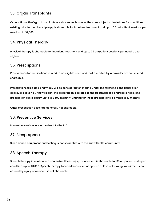#### 33. Organ Transplants

Occupational theOrgan transplants are shareable; however, they are subject to limitations for conditions existing prior to membership.rapy is shareable for inpatient treatment and up to 35 outpatient sessions per need, up to \$7,500.

#### 34. Physical Therapy

Physical therapy is shareable for inpatient treatment and up to 35 outpatient sessions per need, up to \$7,500.

#### 35. Prescriptions

Prescriptions for medications related to an eligible need and that are billed by a provider are considered

Prescriptions filled at a pharmacy will be considered for sharing under the following conditions: prior approval is given by Knew Health, the prescription is related to the treatment of a shareable need, and prescription costs accumulate to \$500 monthly. Sharing for these prescriptions is limited to 12 months.

Other prescription costs are generally not shareable.

#### 36. Preventive Services

Preventive services are not subject to the IUA.

#### 37. Sleep Apnea

Sleep apnea equipment and testing is not shareable with the Knew Health community.

#### 38. Speech Therapy

Speech therapy in relation to a shareable illness, injury, or accident is shareable for 35 outpatient visits per condition, up to \$3,000. Speech therapy for conditions such as speech delays or learning impairments not caused by injury or accident is not shareable.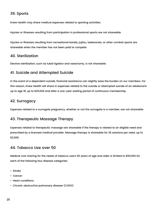#### 39. Sports

Knew Health may share medical expenses related to sporting activities.

Injuries or illnesses resulting from participation in professional sports are not shareable.

Injuries or illnesses resulting from recreational karate, jujitsu, taekwondo, or other combat sports are shareable when the member has not been paid to compete.

#### 40. Sterilization

Elective sterilization, such as tubal ligation and vasectomy, is not shareable.

#### 41. Suicide and Attempted Suicide

In the event of a dependent suicide, financial assistance can slightly ease the burden on our members. For this reason, Knew Health will share in expenses related to the suicide or attempted suicide of an adolescent up to age 18, up to \$25,000 and after a one-year waiting period of continuous membership.

#### 42. Surrogacy

Expenses related to a surrogate pregnancy, whether or not the surrogate is a member, are not shareable.

#### 43. Therapeutic Massage Therapy

Expenses related to therapeutic massage are shareable if the therapy is related to an eligible need and prescribed by a licensed medical provider. Massage therapy is shareable for 25 sessions per need, up to \$3,000.

#### 44. Tobacco Use over 50

Medical cost sharing for the needs of tobacco users 50 years of age and older is limited to \$50,000 for

each of the following four disease categories:

- Stroke
- Cancer
- Heart conditions
- Chronic obstructive pulmonary disease (COPD)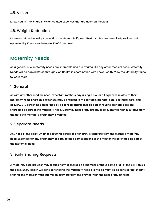#### 45. Vision

Knew Health may share in vision-related expenses that are deemed medical.

#### 46. Weight Reduction

Expenses related to weight reduction are shareable if prescribed by a licensed medical provider and approved by Knew Health—up to \$3,000 per need.

As with any other medical need, expectant mothers pay a single IUA for all expenses related to their maternity need. Shareable expenses may be related to miscarriage, prenatal care, postnatal care, and delivery. STD screenings prescribed by a licensed practitioner as part of routine prenatal care are shareable as part of the maternity need. Maternity needs requests must be submitted within 30 days from the date the member's pregnancy is verified.

## Maternity Needs

As a general rule, maternity needs are shareable and are treated like any other medical need. Maternity Needs will be administered through Zion Health in coordination with Knew Health. View the Maternity Guide

#### 1. General

Any need of the baby, whether occurring before or after birth, is separate from the mother's maternity need. Expenses for any pregnancy or birth-related complications of the mother will be shared as part of the maternity need.

#### 2. Separate Needs

#### 3. Early Sharing Requests

A maternity care provider may reduce normal charges if a member prepays some or all of the bill. If this is

the case, Knew Health will consider sharing the maternity need prior to delivery. To be considered for early sharing, the member must submit an estimate from the provider with the needs request form.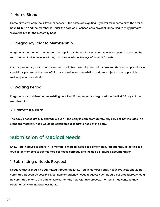#### 4. Home Births

Home births typically incur fewer expenses. If the costs are significantly lower for a home birth than for a hospital birth and the member is under the care of a licensed care provider, Knew Health may partially waive the IUA for the maternity need.

#### 5. Pregnancy Prior to Membership

Pregnancy that begins prior to membership, is not shareable. A newborn conceived prior to membership must be enrolled in Knew Health by the parents within 30 days of the child' s birth.

For any pregnancy that is not shared as an eligible maternity need with Knew Health, any complications or conditions present at the time of birth are considered pre-existing and are subject to the applicable

#### 6. Waiting Period

Pregnancy is considered a pre-existing condition if the pregnancy begins within the first 60 days of the membership.

#### 7. Premature Birth

The baby ' s needs are fully shareable, even if the baby is born prematurely. Any services not included in a standard maternity need would be considered a separate need of the baby.

### Submission of Medical Needs

Knew Health strives to share in its members' medical needs in a timely, accurate manner. To do this, it is

crucial for members to submit medical needs correctly and include all required documentation.

#### 1. Submitting a Needs Request

Needs requests should be submitted through the Knew Health Member Portal. Needs requests should be submitted as soon as possible. Most non-emergency needs requests, such as surgical procedures, should be submitted prior to the date of service. For any help with this process, members may contact Knew Health directly during business hours.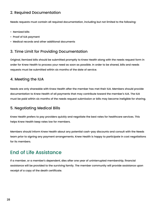#### 2. Required Documentation

Needs requests must contain all required documentation, including but not limited to the following:

- Itemized bills
- Proof of IUA payment
- Medical records and other additional documents

#### 3. Time Limit for Providing Documentation

Original, itemized bills should be submitted promptly to Knew Health along with the needs request form in order for Knew Health to process your need as soon as possible. In order to be shared, bills and needs requests must be submitted within six months of the date of service.

#### 4. Meeting the IUA

Needs are only shareable with Knew Health after the member has met their IUA. Members should provide documentation to Knew Health of all payments that may contribute toward the member ' s IUA. The IUA must be paid within six months of the needs request submission or bills may become ineligible for sharing.

#### 5. Negotiating Medical Bills

Knew Health prefers to pay providers quickly and negotiate the best rates for healthcare services. This helps Knew Health keep rates low for members.

Members should inform Knew Health about any potential cash-pay discounts and consult with the Needs team prior to signing any payment arrangements. Knew Health is happy to participate in cost negotiations for its members.

#### End of Life Assistance

lf a member, or a member's dependent, dies after one year of uninterrupted membership, financial

assistance will be provided to the surviving family. The member community will provide assistance upon receipt of a copy of the death certificate.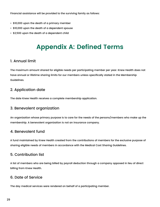Financial assistance will be provided to the surviving family as follows:

- \$10,000 upon the death of a primary member
- \$10,000 upon the death of a dependent spouse
- \$2,500 upon the death of a dependent child

# **Appendix A: Defined Terms**

#### 1. Annual limit

The maximum amount shared for eligible needs per participating member per year. Knew Health does not have annual or lifetime sharing limits for our members unless specifically stated in the Membership Guidelines.

#### 2. Application date

The date Knew Health receives a complete membership application.

#### 3. Benevolent organization

An organization whose primary purpose is to care for the needs of the persons/members who make up the membership. A benevolent organization is not an insurance company.

#### 4. Benevolent fund

A fund maintained by Knew Health created from the contributions of members for the exclusive purpose of sharing eligible needs of members in accordance with the Medical Cost Sharing Guidelines.

#### 5. Contribution list

A list of members who are being billed by payroll deduction through a company opposed in lieu of direct billing from Knew Health.

#### 6. Date of Service

The day medical services were rendered on behalf of a participating member.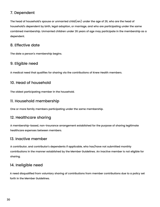#### 7. Dependent

The head of household' s spouse or unmarried child(ren) under the age of 26, who are the head of household' s dependent by birth, legal adoption, or marriage, and who are participating under the same combined membership. Unmarried children under 26 years of age may participate in the membership as a dependent.

#### 8. Effective date

The date a person 's membership begins.

#### 9. Eligible need

A medical need that qualifies for sharing via the contributions of Knew Health members.

#### 10. Head of household

The oldest participating member in the household.

#### 11. Household membership

One or more family members participating under the same membership.

#### 12. Healthcare sharing

A membership-based, non-insurance arrangement established for the purpose of sharing legitimate healthcare expenses between members.

#### 13. Inactive member

A contributor, and contributor's dependents if applicable, who has/have not submitted monthly

contributions in the manner established by the Member Guidelines. An inactive member is not eligible for

sharing.

#### 14. Ineligible need

A need disqualified from voluntary sharing of contributions from member contributions due to a policy set

forth in the Member Guidelines.

30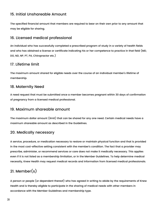#### 15. Initial Unshareable Amount

The specified financial amount that members are required to bear on their own prior to any amount that may be eligible for sharing.

#### 16. Licensed medical professional

An individual who has successfully completed a prescribed program of study in a variety of health fields and who has obtained a license or certificate indicating his or her competence to practice in that field (MD, DO, ND, NP, PT, PA, Chiropractor etc.)

#### 17. Lifetime limit

The maximum amount shared for eligible needs over the course of an individual member ' s lifetime of

#### 18. Maternity Need

A need request that must be submitted once a member becomes pregnant within 30 days of confirmation of pregnancy from a licensed medical professional.

#### 19. Maximum shareable amount

The maximum dollar amount (limit) that can be shared for any one need. Certain medical needs have a maximum shareable amount as described in the Guidelines.

#### 20. Medically necessary

A service, procedure, or medication necessary to restore or maintain physical function and that is provided in the most cost-effective setting consistent with the member ' s condition. The fact that a provider may

prescribe, administer, or recommend services or care does not make it medically necessary. This applies

even if it is not listed as a membership limitation, or in the Member Guidelines. To help determine medical

necessity, Knew Health may request medical records and information from licensed medical professionals.

#### 21. Member(s)

A person or people (or dependent thereof) who has agreed in writing to abide by the requirements of Knew Health and is thereby eligible to participate in the sharing of medical needs with other members in accordance with the Member Guidelines and membership type.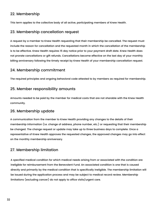#### 22. Membership

This term applies to the collective body of all active, participating members of Knew Health.

#### 23. Membership cancellation request

A request by a member to Knew Health requesting that their membership be cancelled. The request must include the reason for cancellation and the requested month in which the cancellation of the membership is to be effective. Knew Health requires 15 day notice prior to your payment draft date. Knew Health does not prorate cancellations or gift refunds. Cancellations become effective on the last day of your monthly billing anniversary following the timely receipt by Knew Health of your membership cancellation request.

#### 24. Membership commitment

The required principles and ongoing behavioral code attested to by members as required for membership.

#### 25. Member responsibility amounts

Amounts needed to be paid by the member for medical costs that are not sharable with the Knew Health community.

#### 26. Membership update

A communication from the member to Knew Health providing any changes to the details of their membership information (i.e. change of address, phone number, etc.) or requesting that their membership be changed. The change request or update may take up to three business days to complete. Once a representative of Knew Health approves the requested changes, the approved changes may go into effect on the monthly membership anniversary.

#### 27. Membership limitation

A specified medical condition for which medical needs arising from or associated with the condition are ineligible for reimbursement from the Benevolent Fund. An associated condition is one that is caused directly and primarily by the medical condition that is specifically ineligible. The membership limitation will be issued during the application process and may be subject to medical record review. Membership limitations (excluding cancer) do not apply to office visits/urgent care.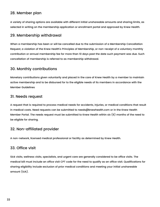#### 28. Member plan

A variety of sharing options are available with different initial unshareable amounts and sharing limits, as selected in writing on the membership application or enrollment portal and approved by Knew Health.

#### 29. Membership withdrawal

When a membership has been or will be cancelled due to the submission of a Membership Cancellation Request, a violation of the Knew Health' s Principles of Membership, or non-receipt of a voluntary monthly contribution or annual membership fee for more than 10 days past the date such payment was due. Such cancellation of membership is referred to as membership withdrawal.

#### 30. Monthly contributions

Monetary contributions given voluntarily and placed in the care of Knew Health by a member to maintain active membership and to be disbursed for to the eligible needs of its members in accordance with the Member Guidelines

#### 31. Needs request

A request that is required to process medical needs for accidents, injuries, or medical conditions that result in medical costs. Need requests can be submitted to [needs@knewhealth.com](mailto:needs@knewhealth.com) or in the Knew Health Member Portal. The needs request must be submitted to Knew Health within six (6) months of the need to be eligible for sharing.

#### 32. Non-affiliated provider

A non-network, licensed medical professional or facility as determined by Knew Health.

#### 33. Office visit

Sick visits, wellness visits, specialists, and urgent care are generally considered to be office visits. The medical bill must include an office visit CPT code for the need to qualify as an office visit. Qualifications for sharing eligibility include exclusion of prior medical conditions and meeting your initial unshareable amount (IUA).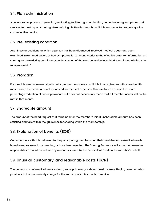#### 34. Plan administration

A collaborative process of planning, evaluating, facilitating, coordinating, and advocating for options and services to meet a participating Member's Eligible Needs through available resources to promote quality, cost-effective results.

#### 35. Pre-existing condition

Any illness or accident for which a person has been diagnosed, received medical treatment, been examined, taken medication, or had symptoms for 24 months prior to the effective date. For information on sharing for pre-existing conditions, see the section of the Member Guidelines titled "Conditions Existing Prior to Membership."

#### 36. Proration

If shareable needs are ever significantly greater than shares available in any given month, Knew Health may prorate the needs amount requested for medical expenses. This involves an across the board percentage reduction of needs payments but does not necessarily mean that all member needs will not be met in that month.

#### 37. Shareable amount

The amount of the need request that remains after the member ' s initial unshareable amount has been satisfied and falls within the guidelines for sharing within the membership.

#### 38. Explanation of benefits (EOB)

Correspondence that is delivered to the participating members and their providers once medical needs have been processed, are pending, or have been rejected. The Sharing Summary will state their member

responsibility amount as well as any amounts shared by the Benevolent Fund on the member ' s behalf.

#### 39. Unusual, customary, and reasonable costs (UCR)

The general cost of medical services in a geographic area, as determined by Knew Health, based on what providers in the area usually charge for the same or a similar medical service.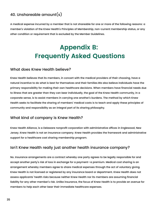#### 40. Unshareable amount(s)

A medical expense incurred by a member that is not shareable for one or more of the following reasons: a member ' s violation of the Knew Health' s Principles of Membership, non-current membership status, or any other condition or requirement that is excluded by the Member Guidelines.

# **Appendix B: Frequently Asked Questions**

What does Knew Health believe?

Knew Health believes that its members, in concert with the medical providers of their choosing, have a natural incentive to do what is best for themselves and their families.We also believe individuals have the primary responsibility for making their own healthcare decisions. When members have financial needs due to illness that are greater than they can bear individually, the goal of the Knew Health community, in a corporate sense, is to assist members in carrying one another ' s burdens. The method by which Knew Health seeks to facilitate the sharing of members' medical costs is to teach and apply these principles of community and responsibility as an integral part of its sharing philosophy.

#### What kind of company is Knew Health?

Knew Health Alliance, is a Delaware nonprofit corporation with administrative offices in Englewood, New Jersey. Knew Health is not an insurance company. Knew Health provides the framework and administrative support for a healthcare cost sharing membership program.

#### Isn 't Knew Health really just another health insurance company?

No. Insurance arrangements are a contract whereby one party agrees to be legally responsible for and accept another party's risk of loss in exchange for a payment—a premium. Medical cost sharing is an arrangement whereby members agree to share medical expenses through the act of voluntary giving. Knew Health is not licensed or registered by any insurance board or department. Knew Health does not assess applicants' health risks because neither Knew Health nor its members are assuming financial liability for any other member's risk. Unlike insurance, the focus of Knew Health is to provide an avenue for members to help each other bear their immediate healthcare expenses.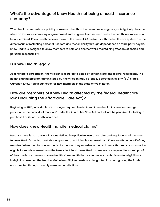#### What' s the advantage of Knew Health not being a health insurance company?

When health care costs are paid by someone other than the person receiving care, as is typically the case when an insurance company or government entity agrees to cover such costs, the healthcare model can be undermined. Knew Health believes many of the current 46 problems with the healthcare system are the direct result of restricting personal freedom and responsibility through dependence on third-party payers. Knew Health is designed to allow members to help one another while maintaining freedom of choice and personal responsibility.

#### Is Knew Health legal?

As a nonprofit corporation, Knew Health is required to abide by certain state and federal regulations. The

health sharing program administered by Knew Health may be legally operated in all fifty (50) states. Currently, Knew Health cannot enroll new members in the state of Washington.

#### How are members of Knew Health affected by the federal healthcare law (including the Affordable Care Act)?

Beginning in 2019, individuals are no longer required to obtain minimum health insurance coverage pursuant to the "individual mandate" under the Affordable Care Act and will not be penalized for failing to purchase traditional health insurance.

#### How does Knew Health handle medical claims?

Because there is no transfer of risk, as defined in applicable insurance rules and regulations, with respect to Knew Health's medical cost sharing program, no "claim" is ever owed by a Knew Health on behalf of any member. When members incur medical expenses, they experience medical needs that may or may not be

eligible for reimbursement from the Benevolent Fund. Knew Health members are required to submit proof

of their medical expenses to Knew Health. Knew Health then evaluates each submission for eligibility or

ineligibility based on the Member Guidelines. Eligible needs are designated for sharing using the funds

accumulated through monthly member contributions.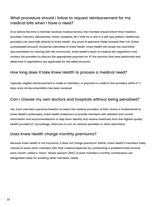#### What procedure should I follow to request reimbursement for my medical bills when I have a need?

At or before the time a member receives medical service, the member should inform their medical providers (doctors, laboratories, clinics, hospitals, etc.) that he or she is a self-pay patient. Healthcare providers can send bills directly to Knew Health. Any proof of payment made towards their IUA (initial unshareable amount) should be submitted to Knew Health. Knew Health will review the submitted documentation for sharing with the community. Knew Health' s team of medical bill negotiators may contact the providers to discuss the appropriate payment for 47 the services that were performed and determine if negotiations are applicable for the billed amounts.

Yes. Each member's personal freedom to select the medical providers of their choice is fundamental to Knew Health' s philosophy. Knew Health endeavors to provide members with detailed and current information and recommendations to help them identify and receive treatment from the highest quality health provider(s). Accordingly, there are no out-of-network penalties or other restrictions.

#### How long does it take Knew Health to process a medical need?

Typically, eligible reimbursement is made to members, or payment is made to the providers within 5-7 days once all documentation has been received.

#### Can I choose my own doctors and hospitals without being penalized?

#### Does Knew Health charge monthly premiums?

Because Knew Health is not insurance, it does not charge premiums. Rather, Knew Health' s members freely choose to assist other members with their medical expenses by contributing a predetermined amount

each month; called a "share." Ninety percent (90%*)* of each member's monthly contributions are

designated solely for assisting other members ' needs.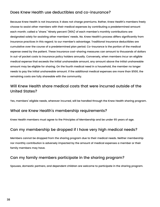#### Does Knew Health use deductibles and co-insurance?

Because Knew Health is not insurance, it does not charge premiums. Rather, Knew Health' s members freely choose to assist other members with their medical expenses by contributing a predetermined amount each month; called a "share." Ninety percent (90%*)* of each member's monthly contributions are designated solely for assisting other members' needs. No. Knew Health's process differs significantly from late that the memotion of the state of the state of the state of the state of the state of the state of the state o insurance practices in this regard; to our member's advantage. Traditional insurance deductibles are cumulative over the course of a predetermined plan period. Co-insurance is the portion of the medical expense owed by the patient. These insurance cost-sharing measures can amount to thousands of dollars in out-of pocket costs to insurance policy holders annually. Conversely, when members incur an eligible medical expense that exceeds the initial unshareable amount, any amount above the initial unshareable amount may be eligible for sharing. On the fourth medical need in a household, the member no longer needs to pay the initial unshareable amount. If the additional medical expenses are more than \$500, the

#### Will Knew Health share medical costs that were incurred outside of the United States?

Yes, members' eligible needs, wherever incurred, will be handled through the Knew Health sharing program.

#### What are Knew Health' s membership requirements?

Knew Health members must agree to the Principles of Membership and be under 65 years of age.

#### Can my membership be dropped if I have very high medical needs?

Members cannot be dropped from the sharing program due to their medical needs. Neither membership nor monthly contribution is adversely impacted by the amount of medical expenses a member or their family members may have.

#### Can my family members participate in the sharing program?

Spouses, domestic partners, and dependent children are welcome to participate in the sharing program.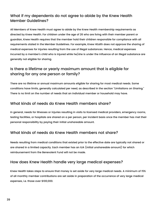#### What if my dependents do not agree to abide by the Knew Health Member Guidelines?

All Members of Knew Health must agree to abide by the Knew Health membership requirements as directed by Knew Health. For children under the age of 26 who are living with their member parent or guardian, Knew Health requires that the member hold their children responsible for compliance with all requirements stated in the Member Guidelines. For example, Knew HEalth does not approve the sharing of medical expenses for injuries resulting from the use of illegal substances. Hence, medical expenses incurred by a member's child who is injured while he/she is under the influence of an illegal substance are generally not eligible for sharing.

Is there a lifetime or yearly maximum amount that is eligible for sharing for any one person or family?

There are no lifetime or annual maximum amounts eligible for sharing for most medical needs. Some conditions have limits, generally calculated per need, as described in the section "Limitations on Sharing." There is no limit on the number of needs that an individual member or household may have.

#### What kinds of needs do Knew Health members share?

In general, needs for illnesses or injuries resulting in visits to licensed medical providers, emergency rooms, testing facilities, or hospitals are shared on a per person, per incident basis once the member has met their personal responsibility by paying their initial unshareable amount.

#### What kinds of needs do Knew Health members not share?

Needs resulting from medical conditions that existed prior to the effective date are typically not shared or are shared in a limited capacity. Each member has an IUA (initial unshareable amount) for which

reimbursement from the Benevolent Fund will not be made.

#### How does Knew Health handle very large medical expenses?

Knew Health takes steps to ensure that money is set aside for very large medical needs. A minimum of 15% of all monthly member contributions are set aside in preparation of the occurrence of very large medical expenses, i.e. those over \$100,000.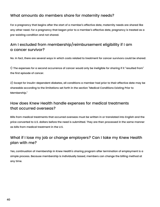#### What amounts do members share for maternity needs?

For a pregnancy that begins after the start of a member ' s effective date, maternity needs are shared like any other need. For a pregnancy that began prior to a member's effective date, pregnancy is treated as a pre-existing condition and not shared.

#### Am I excluded from membership/reimbursement eligibility if I am a cancer survivor?

No. In fact, there are several ways in which costs related to treatment for cancer survivors could be shared:

1) The expenses for a second occurrence of cancer would only be ineligible for sharing if it " resulted from " the first episode of cancer.

2) Except for insulin-dependent diabetes, all conditions a member had prior to their effective date may be shareable according to the limitations set forth in the section "Medical Conditions Existing Prior to Membership."

#### How does Knew Health handle expenses for medical treatments that occurred overseas?

Bills from medical treatments that occurred overseas must be written in or translated into English and the price converted to U.S. dollars before the need is submitted. They are then processed in the same manner as bills from medical treatment in the U.S.

#### What if I lose my job or change employers? Can I take my Knew Health plan with me?

Yes, continuation of membership in Knew Health's sharing program after termination of employment is a

simple process. Because membership is individually based, members can change the billing method at any time.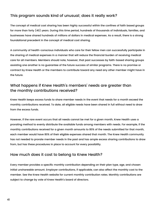#### This program sounds kind of unusual; does it really work?

The concept of medical cost sharing has been highly successful within the confines of faith based groups for more than forty (40) years. During this time period, hundreds of thousands of individuals, families, and businesses have shared hundreds of millions of dollars in medical expenses. As a result, there is a strong foundational precedent in the concept of medical cost sharing.

A community of health-conscious individuals who care for their fellow men can successfully participate in the sharing of medical expenses in a manner that will reduce the financial burden of receiving medical care for all members. Members should note, however, that past successes by faith-based sharing groups assisting one another is no guarantee of the future success of similar programs. There is no promise or contract by Knew Health or the members to contribute toward any need any other member might have in

the future.

#### What happens if Knew Health' s members 'needs are greater than the monthly contributions received?

Knew Health keeps excess funds to share member needs in the event that needs for a month exceed the monthly contributions received. To date, all eligible needs have been shared in full without need to draw from the excess funds.

However, if the rare event occurs that all needs cannot be met for a given month, Knew Health uses a prorating method to evenly distribute the available funds among members with needs. For example, if the monthly contributions received for a given month amounts to 80% of the needs submitted for that month, each member would have 80% of their eligible expenses shared that month. The Knew Health community has not needed to prorate member needs in the past and has ample excess sharing contributions to draw from, but has these procedures in place to account for every possibility.

#### How much does it cost to belong to Knew Health?

Every member provides a specific monthly contribution depending on their plan type, age, and chosen

initial unshareable amount. Employer contributions, if applicable, can also affect the monthly cost to the member. See the Knew Health website for current monthly contribution rates. Monthly contributions are subject to change by vote of Knew Health' s board of directors.

41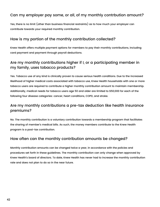#### Can my employer pay some, or all, of my monthly contrbution amount?

Yes, there is no limit (other than business financial restraints) as to how much your employer can contribute towards your required monthly contribution.

#### How is my portion of the monthly contribution collected?

Knew Health offers multiple payment options for members to pay their monthly contributions, including card payment and payment through payroll deductions.

Are my monthly contributions higher if I, or a participating member in my family, uses tobacco products?

Yes. Tobacco use of any kind is clinically proven to cause serious health conditions. Due to the increased likelihood of higher medical costs associated with tobacco use, Knew Health households with one or more tobacco users are required to contribute a higher monthly contribution amount to maintain membership. Additionally, medical needs for tobacco users age 50 and older are limited to \$50,000 for each of the following four disease categories: cancer, heart conditions, COPD, and stroke.

#### Are my monthly contributions a pre-tax deduction like health insurance premiums?

No. The monthly contribution is a voluntary contribution towards a membership program that facilitates the sharing of member's medical bills. As such, the money members contribute to the Knew Health program is a post-tax contribution.

#### How often can the monthly contribution amounts be changed?

Monthly contribution amounts can be changed twice a year, in accordance with the policies and

procedures set forth in these guidelines. The monthly contribution can only change when approved by

Knew Health' s board of directors. To date, Knew Health has never had to increase the monthly contribution

rate and does not plan to do so in the near future.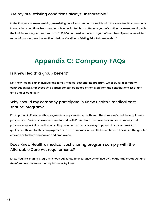#### Are my pre-existing conditions always unshareable?

In the first year of membership, pre-existing conditions are not shareable with the Knew Health community. Pre-existing conditions become sharable on a limited basis after one year of continuous membership, with the limit increasing to a maximum of \$125,000 per need in the fourth year of membership and onward. For more information, see the section "Medical Conditions Existing Prior to Membership."

# **Appendix C: Company FAQs**

Is Knew Health a group benefit?

No, Knew Health is an individual and family medical cost sharing program. We allow for a company contribution list. Employees who participate can be added or removed from the contributions list at any time and billed directly.

Participation in Knew Health's program is always voluntary, both from the company's and the employee's perspectives. Business owners choose to work with Knew Health because they value community and personal responsibility and because they want to use a cost sharing approach to ensure provision of quality healthcare for their employees. There are numerous factors that contribute to Knew Health' s greater efficiencies for both companies and employees.

#### Why should my company participate in Knew Health' s medical cost sharing program?

#### Does Knew Health' s medical cost sharing program comply with the Affordable Care Act requirements?

Knew Health' s sharing program is not a substitute for insurance as defined by the Affordable Care Act and therefore does not meet the requirements by itself.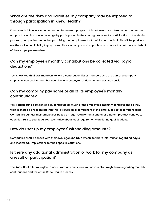#### What are the risks and liabilities my company may be exposed to through participation in Knew Health?

Knew Health Alliance is a voluntary and benevolent program. It is not insurance. Member companies are not purchasing insurance coverage by participating in the sharing program. By participating in the sharing program, companies are neither promising their employees that their larger medical bills will be paid, nor are they taking on liability to pay those bills as a company. Companies can choose to contribute on behalf of their employee members.

#### Can my employee 's monthly contributions be collected via payroll deductions?

Yes. Participating companies can contribute as much of the employee's monthly contributions as they wish. It should be recognized that this is viewed as a component of the employee 's total compensation. Companies can tier their employees based on legal requirements and offer different product bundles to each tier. Talk to your legal representative about legal requirements on tiering qualifications.

Yes. Knew Health allows members to join a contribution list of members who are part of a company. Employers can deduct member contributions by payroll deduction on a post-tax basis.

#### Can my company pay some or all of its employee 's monthly contributions?

#### How do I set up my employees 'withholding amounts?

Companies should consult with their own legal and tax advisors for more information regarding payroll and income tax implications for their specific situations.

#### Is there any additional administration or work for my company as a result of participation?

The Knew Health team is glad to assist with any questions you or your staff might have regarding monthly contributions and the entire Knew Health process.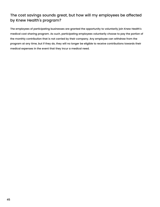#### The cost savings sounds great, but how will my employees be affected by Knew Health' s program?

The employees of participating businesses are granted the opportunity to voluntarily join Knew Health' s medical cost sharing program. As such, participating employees voluntarily choose to pay the portion of the monthly contribution that is not carried by their company. Any employee can withdraw from the program at any time, but if they do, they will no longer be eligible to receive contributions towards their medical expenses in the event that they incur a medical need.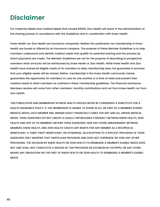## **Disclaimer**

For maternity Needs and medical Needs that exceed \$5000, Zion Health will assist in the administration of the sharing process in accordance with the Guidelines and in coordination with Knew Health.

Knew Health nor Zion Health are insurance companies. Neither this publication nor membership in Knew Health are issued or offered by an insurance company. The purpose of these Member Guidelines is to help members understand and identify medical needs that qualify for potential sharing and the process by which payments are made. The Member Guidelines are not for the purpose of describing to prospective members what amounts will be reimbursed by Knew Health or Zion Health. While Knew Health and Zion Health have shared all eligible needs of its members to date, membership does not guarantee or promise that your eligible needs will be shared. Rather, membership in the Knew Health community merely

guarantees the opportunity for members to care for one another in a time of need and present their medical needs to other members as outlined in these membership guidelines. The financial assistance Members receive will come from other members' monthly contributions and not from Knew Health nor from Zion Health.

THIS PUBLICATION AND MEMBERSHIP IN KNEW HEALTH SHOULD NEVER BE CONSIDERED A SUBSTITUTE FOR A HEALTH INSURANCE POLICY. IF THE MEMBERSHIP IS UNABLE TO SHARE IN ALL OR PART OF A MEMBERS ELIGIBLE MEDICAL NEEDS, EACH MEMBER WILL REMAIN SOLELY FINANCIALLY LIABLE FOR ANY AND ALL UNPAID MEDICAL NEEDS. THESE GUIDELINES DO NOT CREATE A LEGALLY ENFORCEABLE CONTRACT BETWEEN KNEW HEALTH, ZION HEALTH AND ANY OF ITS MEMBERS. NEITHER THESE GUIDELINES, NOR ANY OTHER ARRANGEMENT BETWEEN MEMBERS, KNEW HEALTH, AND ZION HEALTH CREATE ANY RIGHTS FOR ANY MEMBER AS A RECIPROCAL BENEFICIARY, A THIRD-PARTY BENEFICIARY, OR OTHERWISE. AN EXCEPTION TO A SPECIFIC PROVISION OF THESE GUIDELINES ONLY MODIFIES THAT PARTICULAR PROVISION AND DOES NOT SUPERSEDE OR VOID ANY OTHER PROVISIONS. THE DECISION BY KNEW HEALTH OR ZION HEALTH TO REIMBURSE A MEMBER'S ELIGIBLE NEEDS DOES NOT AND SHALL NOT CONSTITUTE A WAIVER OF THIS PROVISION OR ESTABLISH BY ESTOPPEL OR ANY OTHER

#### MEANS ANY OBLIGATION ON THE PART OF KNEW HEALTH OR ZION HEALTH TO REIMBURSE A MEMBER'S ELIGIBLE

NEEDS.